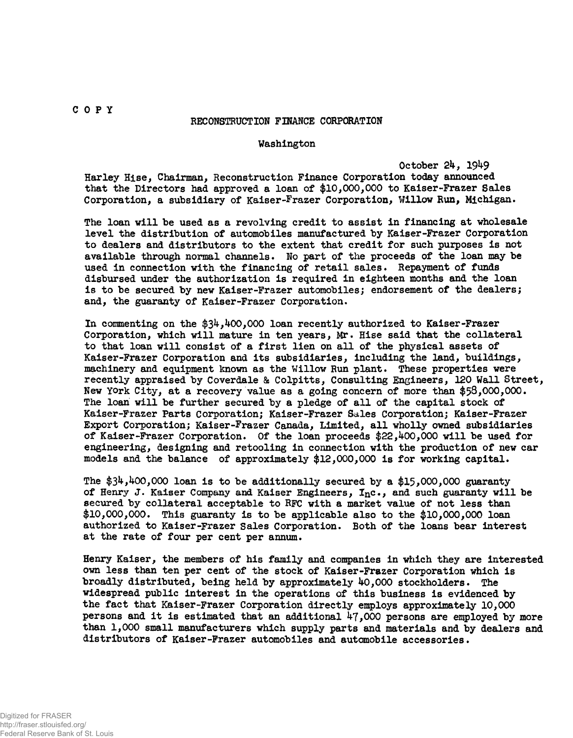## COP Y

## RECONSTRUCTION FINANCE CORPORATION

## Washington

October 24, 1949<br>Harley Hise, Chairman, Reconstruction Finance Corporation today announced that the Directors had approved a loan of \$10,000,000 to Kaiser-Frazer Sales Corporation, a subsidiary of Kaiser-Frazer Corporation, Willow Run, Michigan. Corporation, a subsidiary of Kaiser-Frazer Corporation, Willow Run, Michigan.

The loan will be used as a revolving credit to assist in financing at wholesale level the distribution of automobiles manufactured by Kaiser-Frazer Corporation to dealers and distributors to the extent that credit for such purposes is not available through normal channels. No part of the proceeds of the loan may be used in connection with the financing of retail sales. Repayment of funds disbursed under the authorization is required in eighteen months and the loan is to be secured by new Kaiser-Frazer automobiles; endorsement of the dealers; and, the guaranty of Kaiser-Frazer Corporation.

In commenting on the  $$34,400,000$  loan recently authorized to Kaiser-Frazer Corporation, which will mature in ten years, Mr. Hise said that the collateral to that loan will consist of a first lien on all of the physical assets of Kaiser-Frazer Corporation and its subsidiaries, including the land, buildings, machinery and equipment known as the Willow Run plant. These properties were recently appraised by Coverdale & Colpitts, Consulting Engineers, 120 Wall Street, New York City, at a recovery value as a going concern of more than \$58,000,000. The loan will be further secured by a pledge of all of the capital stock of Kaiser-Frazer Parts Corporation; Kaiser-Frazer Sales Corporation; Kaiser-Frazer Export Corporation; Kaiser-Frazer Canada, Limited, all wholly owned subsidiaries of Kaiser-Frazer Corporation. Of the loan proceeds  $$22,400,000$  will be used for engineering, designing and retooling in connection with the production of new car models and the balance of approximately  $$12,000,000$  is for working capital.

The  $$34,400,000$  loan is to be additionally secured by a  $$15,000,000$  guaranty of Henry J. Kaiser Company and Kaiser Engineers,  $I_n$ c., and such guaranty will be secured by collateral acceptable to RFC with a market value of not less than \$10,000,000. This guaranty is to be applicable also to the  $$10,000,000$  loan authorized to Kaiser-Frazer Sales Corporation. Both of the loans bear interest at the rate of four per cent per annum.

Henry Kaiser, the members of his family and companies in which they are interested own less than ten per cent of the stock of Kaiser-Frazer Corporation which is broadly distributed, being held by approximately 40,000 stockholders. The widespread public interest in the operations of this business is evidenced by the fact that Kaiser-Frazer Corporation directly employs approximately 10,000 persons and it is estimated that an additional  $47,000$  persons are employed by more than 1,000 small manufacturers which supply parts and materials and by dealers and distributors of Kaiser-Frazer automobiles and automobile accessories.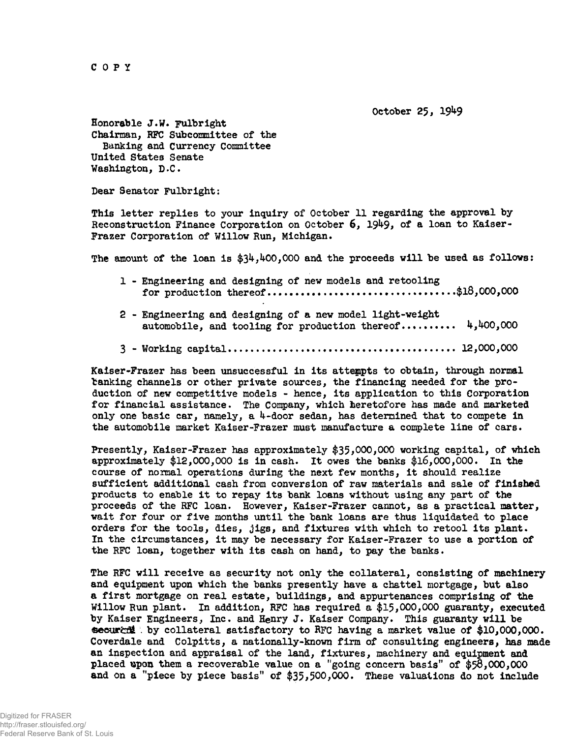COP Y

October 25, 19^9

Honorable  $J.W.$  Fulbright Chairman, RFC Subcommittee of the Banking and Currency Committee United States Senate Washington, D.C.

Dear Senator Fulbright:

This letter replies to your inquiry of October 11 regarding the approval by Reconstruction Finance Corporation on October 6, 1949, of a loan to Kaiser-Frazer Corporation of Willow Run, Michigan.

The amount of the loan is  $$34,400,000$  and the proceeds will be used as follows:

- 1 Engineering and designing of new models and retooling f o r production thereof \$18,000,000
- 2 Engineering and designing of a new model light-weight automobile, and tooling for production thereof..........  $4,400,000$
- 3 Working capita l 12,000,000

Kaiser-Frazer has been unsuccessful in its attempts to obtain, through normal banking channels or other private sources, the financing needed for the production of new competitive models - hence, its application to this Corporation for financial assistance. The Company, which heretofore has made and marketed only one basic car, namely, a  $4$ -door sedan, has determined that to compete in the automobile market Kaiser-Frazer must manufacture a complete line of cars.

Presently, Kaiser-Frazer has approximately \$35,000,000 working capital, of which approximately  $$12,000,000$  is in cash. It owes the banks  $$16,000,000$ . In the course of normal operations during the next few months, it should realize sufficient additional cash from conversion of raw materials and sale of finished products to enable it to repay its bank loans without using any part of the proceeds of the RFC loan. However, Kaiser-Frazer cannot, as a practical matter, wait for four or five months until the bank loans are thus liquidated to place orders for the tools, dies, jigs, and fixtures with which to retool its plant. In the circumstances, it may be necessary for Kaiser-Frazer to use a portion of the RFC loan, together with its cash on hand, to pay the banks.

The RFC will receive as security not only the collateral, consisting of machinery and equipment upon which the banks presently have a chattel mortgage, but also a first mortgage on real estate, buildings, and appurtenances comprising of the Willow Run plant. In addition, RFC has required a  $$15,000,000$  guaranty, executed by Kaiser Engineers, Inc. and Henry J. Kaiser Company. This guaranty will be Gecural by collateral satisfactory to RFC having a market value of \$10,000,000. Coverdale and Colpitts, a nationally-known firm of consulting engineers, has made an inspection and appraisal of the land, fixtures, machinery and equipment and placed wpon them a recoverable value on a 'going concern basis" of \$58,000,000 and on a "piece by piece basis" of \$35,500,000. These valuations do not include